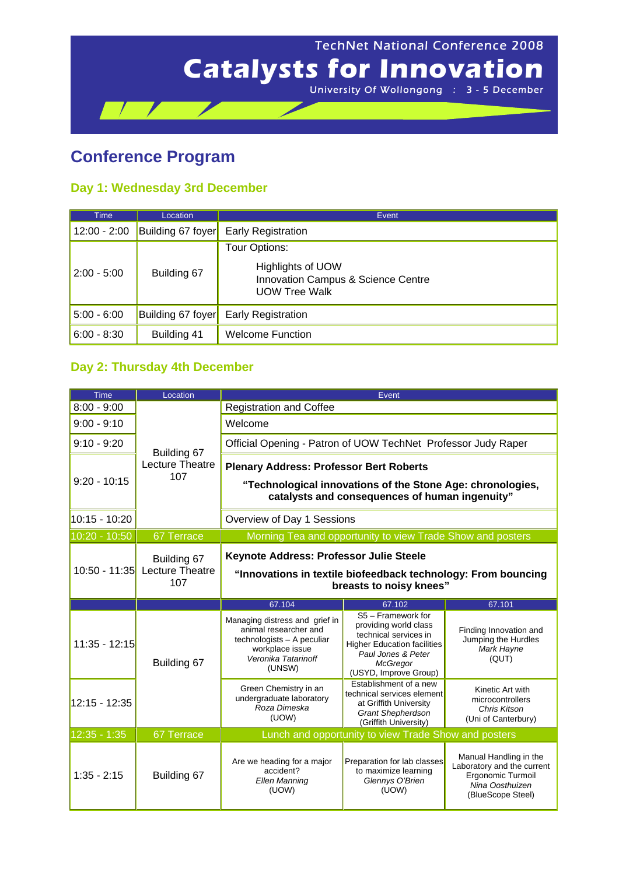

## **Conference Program**

## **Day 1: Wednesday 3rd December**

| <b>Time</b>    | Location          | Event.                                                                                 |
|----------------|-------------------|----------------------------------------------------------------------------------------|
| $12:00 - 2:00$ | Building 67 foyer | <b>Early Registration</b>                                                              |
|                |                   | Tour Options:                                                                          |
| $2:00 - 5:00$  | Building 67       | <b>Highlights of UOW</b><br>Innovation Campus & Science Centre<br><b>UOW Tree Walk</b> |
| $5:00 - 6:00$  | Building 67 foyer | <b>Early Registration</b>                                                              |
| $6:00 - 8:30$  | Building 41       | <b>Welcome Function</b>                                                                |

## **Day 2: Thursday 4th December**

| <b>Time</b>     | Location                                     | Event                                                                                                                                                          |                                                                                                                                                                              |                                                                             |
|-----------------|----------------------------------------------|----------------------------------------------------------------------------------------------------------------------------------------------------------------|------------------------------------------------------------------------------------------------------------------------------------------------------------------------------|-----------------------------------------------------------------------------|
| $8:00 - 9:00$   | Building 67<br>Lecture Theatre<br>107        | <b>Registration and Coffee</b>                                                                                                                                 |                                                                                                                                                                              |                                                                             |
| $9:00 - 9:10$   |                                              | Welcome                                                                                                                                                        |                                                                                                                                                                              |                                                                             |
| $9:10 - 9:20$   |                                              | Official Opening - Patron of UOW TechNet Professor Judy Raper                                                                                                  |                                                                                                                                                                              |                                                                             |
| $9:20 - 10:15$  |                                              | <b>Plenary Address: Professor Bert Roberts</b><br>"Technological innovations of the Stone Age: chronologies,<br>catalysts and consequences of human ingenuity" |                                                                                                                                                                              |                                                                             |
| 10:15 - 10:20   |                                              | Overview of Day 1 Sessions                                                                                                                                     |                                                                                                                                                                              |                                                                             |
| 10:20 - 10:50   | 67 Terrace                                   | Morning Tea and opportunity to view Trade Show and posters                                                                                                     |                                                                                                                                                                              |                                                                             |
| $10:50 - 11:35$ | Building 67<br><b>Lecture Theatre</b><br>107 | Keynote Address: Professor Julie Steele<br>"Innovations in textile biofeedback technology: From bouncing<br>breasts to noisy knees"                            |                                                                                                                                                                              |                                                                             |
|                 |                                              |                                                                                                                                                                |                                                                                                                                                                              |                                                                             |
|                 |                                              | 67.104                                                                                                                                                         | 67.102                                                                                                                                                                       | 67.101                                                                      |
| $11:35 - 12:15$ | Building 67                                  | Managing distress and grief in<br>animal researcher and<br>technologists - A peculiar<br>workplace issue<br>Veronika Tatarinoff<br>(UNSW)                      | S5 - Framework for<br>providing world class<br>technical services in<br><b>Higher Education facilities</b><br>Paul Jones & Peter<br><b>McGregor</b><br>(USYD, Improve Group) | Finding Innovation and<br>Jumping the Hurdles<br>Mark Hayne<br>(QUT)        |
| 12:15 - 12:35   |                                              | Green Chemistry in an<br>undergraduate laboratory<br>Roza Dimeska<br>(UOW)                                                                                     | Establishment of a new<br>technical services element<br>at Griffith University<br><b>Grant Shepherdson</b><br>(Griffith University)                                          | Kinetic Art with<br>microcontrollers<br>Chris Kitson<br>(Uni of Canterbury) |
| $12:35 - 1:35$  | 67 Terrace                                   |                                                                                                                                                                | Lunch and opportunity to view Trade Show and posters                                                                                                                         |                                                                             |